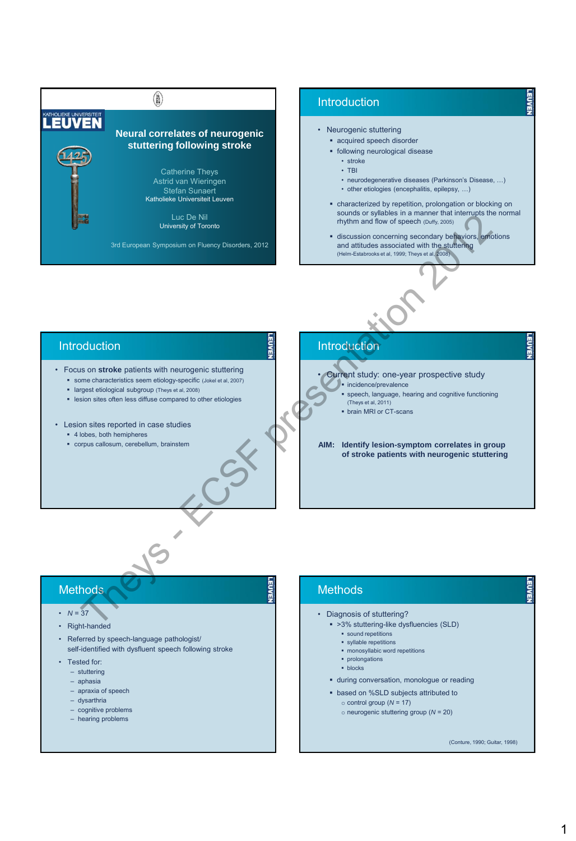

- Focus on **stroke** patients with neurogenic stuttering
	- some characteristics seem etiology-specific (Jokel et al, 2007)
	- largest etiological subgroup (Theys et al, 2008)
	- lesion sites often less diffuse compared to other etiologies
- Lesion sites reported in case studies
	- 4 lobes, both hemipheres
	- corpus callosum, cerebellum, brainstem
- Current study: one-year prospective study incidence/prevalence
	- speech, language, hearing and cognitive functioning (Theys et al, 2011)
	- brain MRI or CT-scans
- **AIM: Identify lesion-symptom correlates in group of stroke patients with neurogenic stuttering**

# **Methods**

- $N = 37$
- Right-handed
- Referred by speech-language pathologist/
- self-identified with dysfluent speech following stroke
- Tested for:
	- stuttering
	- aphasia
	- apraxia of speech
	- dysarthria
	- cognitive problems
	- hearing problems

#### **Methods** • Diagnosis of stuttering? >3% stuttering-like dysfluencies (SLD) **sound repetitions**  syllable repetitions monosyllabic word repetitions • prolongations • blocks during conversation, monologue or reading based on %SLD subjects attributed to o control group (*N* = 17) o neurogenic stuttering group (*N* = 20)

(Conture, 1990; Guitar, 1998)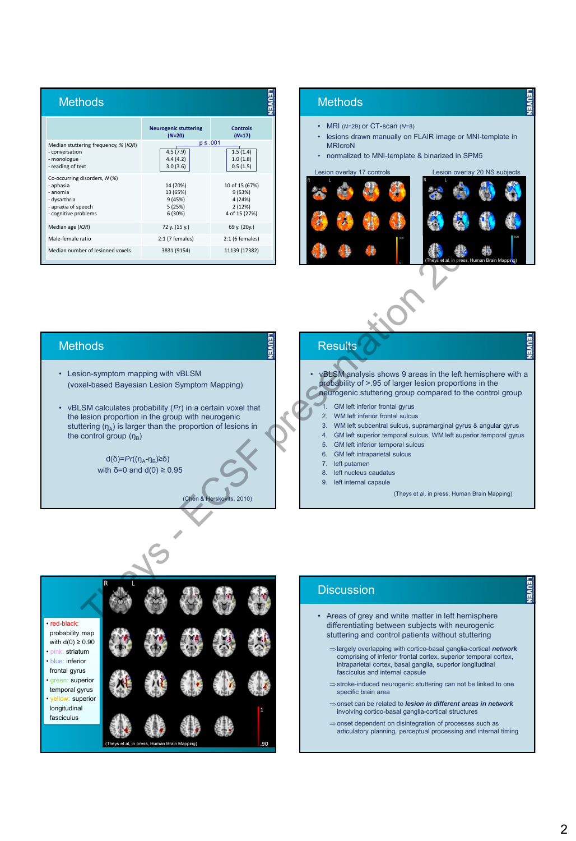| <b>Methods</b>                                                                                                        |                                                      |                                                                 |
|-----------------------------------------------------------------------------------------------------------------------|------------------------------------------------------|-----------------------------------------------------------------|
|                                                                                                                       | <b>Neurogenic stuttering</b><br>$(N=20)$             | <b>Controls</b><br>$(N=17)$                                     |
| Median stuttering frequency, % (IQR)<br>- conversation<br>- monologue<br>- reading of text                            | $p \leq .001$<br>4.5(7.9)<br>4.4(4.2)<br>3.0(3.6)    | 1.5(1.4)<br>1.0(1.8)<br>0.5(1.5)                                |
| Co-occurring disorders, N (%)<br>- aphasia<br>- anomia<br>- dysarthria<br>- apraxia of speech<br>- cognitive problems | 14 (70%)<br>13 (65%)<br>9 (45%)<br>5(25%)<br>6 (30%) | 10 of 15 (67%)<br>9 (53%)<br>4 (24%)<br>2(12%)<br>4 of 15 (27%) |
| Median age (IQR)                                                                                                      | 72 y. (15 y.)                                        | 69 y. (20y.)                                                    |
| Male-female ratio                                                                                                     | 2:1 (7 females)                                      | $2:1$ (6 females)                                               |
| Median number of lesioned voxels                                                                                      | 3831 (9154)                                          | 11139 (17382)                                                   |

## **Methods**

- MRI (*N*=29) or CT-scan (*N*=8)
- lesions drawn manually on FLAIR image or MNI-template in MRIcroN

• normalized to MNI-template & binarized in SPM5



# **Methods**

- Lesion-symptom mapping with vBLSM (voxel-based Bayesian Lesion Symptom Mapping)
- vBLSM calculates probability (*Pr*) in a certain voxel that the lesion proportion in the group with neurogenic stuttering  $(\eta_A)$  is larger than the proportion of lesions in the control group  $(\eta_B)$

(Chen & Herskovits, 2010)

d(δ)=*Pr*((ŋ<sub>A</sub>-ŋ<sub>B</sub>)≥δ) with  $\delta$ =0 and d(0) ≥ 0.95

### **Results**

- vBLSM analysis shows 9 areas in the left hemisphere with a probability of >.95 of larger lesion proportions in the neurogenic stuttering group compared to the control group
	-
	- GM left inferior frontal gyrus
	- 2. WM left inferior frontal sulcus
	- 3. WM left subcentral sulcus, supramarginal gyrus & angular gyrus
	- 4. GM left superior temporal sulcus, WM left superior temporal gyrus
	- 5. GM left inferior temporal sulcus
	- 6. GM left intraparietal sulcus
	- 7. left putamen
	- 8. left nucleus caudatus
	- 9. left internal capsule

(Theys et al, in press, Human Brain Mapping)



# **Discussion** Areas of grey and white matter in left hemisphere differentiating between subjects with neurogenic stuttering and control patients without stuttering

largely overlapping with cortico-basal ganglia-cortical *network* comprising of inferior frontal cortex, superior temporal cortex, intraparietal cortex, basal ganglia, superior longitudinal fasciculus and internal capsule

- $\Rightarrow$  stroke-induced neurogenic stuttering can not be linked to one specific brain area
- onset can be related to *lesion in different areas in network*  involving cortico-basal ganglia-cortical structures
- $\Rightarrow$  onset dependent on disintegration of processes such as articulatory planning, perceptual processing and internal timing

**EUVER**